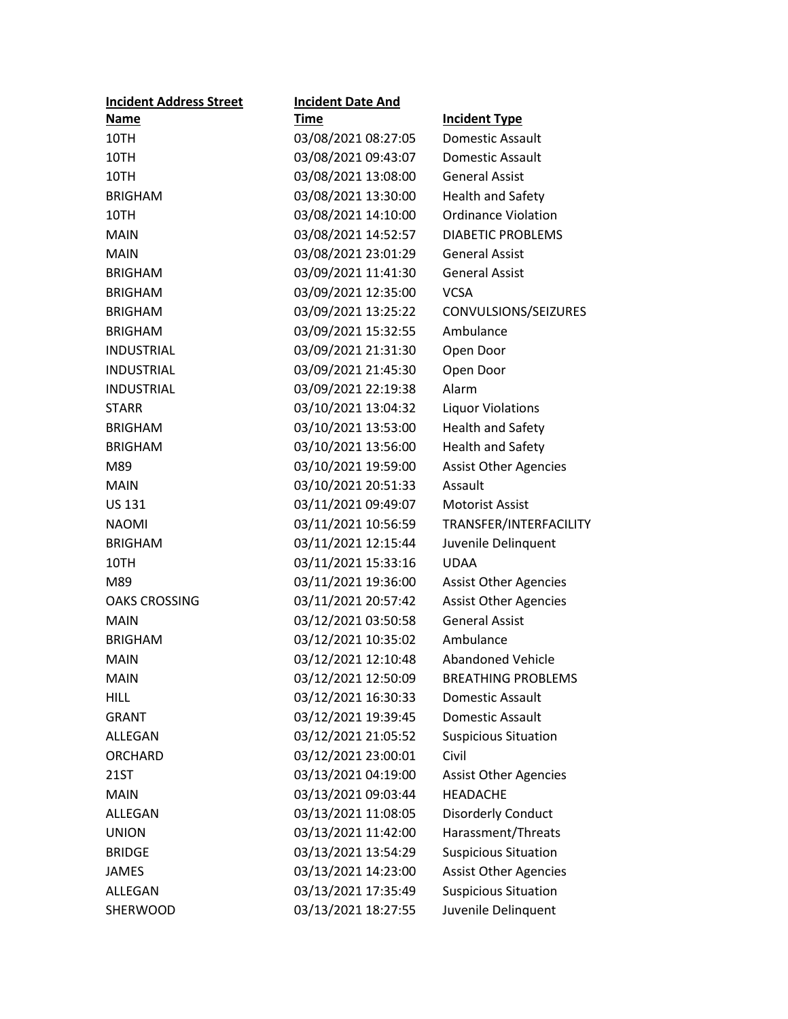| <b>Incident Address Street</b> | <b>Incident Date And</b> |                              |
|--------------------------------|--------------------------|------------------------------|
| Name                           | <b>Time</b>              | <b>Incident Type</b>         |
| 10TH                           | 03/08/2021 08:27:05      | <b>Domestic Assault</b>      |
| 10TH                           | 03/08/2021 09:43:07      | Domestic Assault             |
| 10TH                           | 03/08/2021 13:08:00      | <b>General Assist</b>        |
| <b>BRIGHAM</b>                 | 03/08/2021 13:30:00      | <b>Health and Safety</b>     |
| 10TH                           | 03/08/2021 14:10:00      | <b>Ordinance Violation</b>   |
| <b>MAIN</b>                    | 03/08/2021 14:52:57      | <b>DIABETIC PROBLEMS</b>     |
| <b>MAIN</b>                    | 03/08/2021 23:01:29      | <b>General Assist</b>        |
| <b>BRIGHAM</b>                 | 03/09/2021 11:41:30      | <b>General Assist</b>        |
| <b>BRIGHAM</b>                 | 03/09/2021 12:35:00      | <b>VCSA</b>                  |
| <b>BRIGHAM</b>                 | 03/09/2021 13:25:22      | CONVULSIONS/SEIZURES         |
| <b>BRIGHAM</b>                 | 03/09/2021 15:32:55      | Ambulance                    |
| <b>INDUSTRIAL</b>              | 03/09/2021 21:31:30      | Open Door                    |
| <b>INDUSTRIAL</b>              | 03/09/2021 21:45:30      | Open Door                    |
| <b>INDUSTRIAL</b>              | 03/09/2021 22:19:38      | Alarm                        |
| <b>STARR</b>                   | 03/10/2021 13:04:32      | <b>Liquor Violations</b>     |
| <b>BRIGHAM</b>                 | 03/10/2021 13:53:00      | <b>Health and Safety</b>     |
| <b>BRIGHAM</b>                 | 03/10/2021 13:56:00      | <b>Health and Safety</b>     |
| M89                            | 03/10/2021 19:59:00      | <b>Assist Other Agencies</b> |
| <b>MAIN</b>                    | 03/10/2021 20:51:33      | Assault                      |
| <b>US 131</b>                  | 03/11/2021 09:49:07      | <b>Motorist Assist</b>       |
| <b>NAOMI</b>                   | 03/11/2021 10:56:59      | TRANSFER/INTERFACILITY       |
| <b>BRIGHAM</b>                 | 03/11/2021 12:15:44      | Juvenile Delinquent          |
| 10TH                           | 03/11/2021 15:33:16      | <b>UDAA</b>                  |
| M89                            | 03/11/2021 19:36:00      | <b>Assist Other Agencies</b> |
| <b>OAKS CROSSING</b>           | 03/11/2021 20:57:42      | <b>Assist Other Agencies</b> |
| <b>MAIN</b>                    | 03/12/2021 03:50:58      | <b>General Assist</b>        |
| <b>BRIGHAM</b>                 | 03/12/2021 10:35:02      | Ambulance                    |
| <b>MAIN</b>                    | 03/12/2021 12:10:48      | <b>Abandoned Vehicle</b>     |
| <b>MAIN</b>                    | 03/12/2021 12:50:09      | <b>BREATHING PROBLEMS</b>    |
| <b>HILL</b>                    | 03/12/2021 16:30:33      | Domestic Assault             |
| <b>GRANT</b>                   | 03/12/2021 19:39:45      | Domestic Assault             |
| ALLEGAN                        | 03/12/2021 21:05:52      | <b>Suspicious Situation</b>  |
| <b>ORCHARD</b>                 | 03/12/2021 23:00:01      | Civil                        |
| 21ST                           | 03/13/2021 04:19:00      | <b>Assist Other Agencies</b> |
| <b>MAIN</b>                    | 03/13/2021 09:03:44      | <b>HEADACHE</b>              |
| ALLEGAN                        | 03/13/2021 11:08:05      | <b>Disorderly Conduct</b>    |
| <b>UNION</b>                   | 03/13/2021 11:42:00      | Harassment/Threats           |
| <b>BRIDGE</b>                  | 03/13/2021 13:54:29      | <b>Suspicious Situation</b>  |
| <b>JAMES</b>                   | 03/13/2021 14:23:00      | <b>Assist Other Agencies</b> |
| <b>ALLEGAN</b>                 | 03/13/2021 17:35:49      | <b>Suspicious Situation</b>  |
| SHERWOOD                       | 03/13/2021 18:27:55      | Juvenile Delinquent          |
|                                |                          |                              |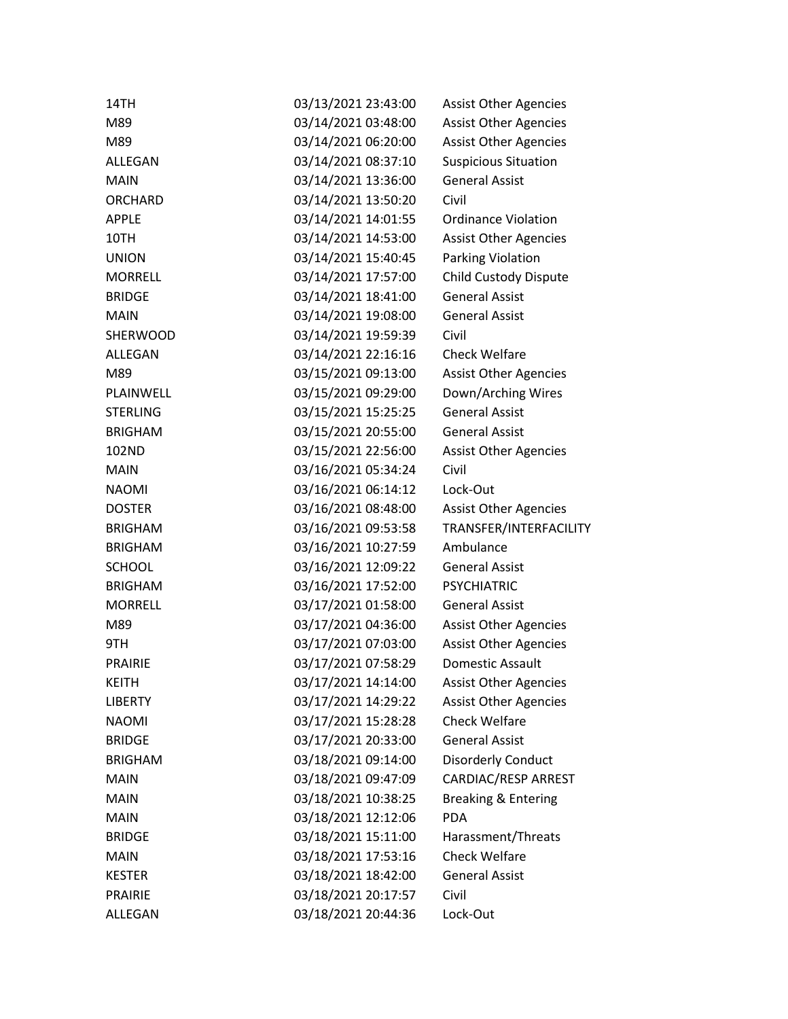| 14TH            | 03/13/2021 23:43:00 | <b>Assist Other Agencies</b>   |
|-----------------|---------------------|--------------------------------|
| M89             | 03/14/2021 03:48:00 | <b>Assist Other Agencies</b>   |
| M89             | 03/14/2021 06:20:00 | <b>Assist Other Agencies</b>   |
| ALLEGAN         | 03/14/2021 08:37:10 | <b>Suspicious Situation</b>    |
| <b>MAIN</b>     | 03/14/2021 13:36:00 | <b>General Assist</b>          |
| ORCHARD         | 03/14/2021 13:50:20 | Civil                          |
| <b>APPLE</b>    | 03/14/2021 14:01:55 | <b>Ordinance Violation</b>     |
| 10TH            | 03/14/2021 14:53:00 | <b>Assist Other Agencies</b>   |
| <b>UNION</b>    | 03/14/2021 15:40:45 | Parking Violation              |
| <b>MORRELL</b>  | 03/14/2021 17:57:00 | <b>Child Custody Dispute</b>   |
| <b>BRIDGE</b>   | 03/14/2021 18:41:00 | <b>General Assist</b>          |
| <b>MAIN</b>     | 03/14/2021 19:08:00 | <b>General Assist</b>          |
| <b>SHERWOOD</b> | 03/14/2021 19:59:39 | Civil                          |
| ALLEGAN         | 03/14/2021 22:16:16 | <b>Check Welfare</b>           |
| M89             | 03/15/2021 09:13:00 | <b>Assist Other Agencies</b>   |
| PLAINWELL       | 03/15/2021 09:29:00 | Down/Arching Wires             |
| <b>STERLING</b> | 03/15/2021 15:25:25 | <b>General Assist</b>          |
| <b>BRIGHAM</b>  | 03/15/2021 20:55:00 | <b>General Assist</b>          |
| 102ND           | 03/15/2021 22:56:00 | <b>Assist Other Agencies</b>   |
| <b>MAIN</b>     | 03/16/2021 05:34:24 | Civil                          |
| <b>NAOMI</b>    | 03/16/2021 06:14:12 | Lock-Out                       |
| <b>DOSTER</b>   | 03/16/2021 08:48:00 | <b>Assist Other Agencies</b>   |
| <b>BRIGHAM</b>  | 03/16/2021 09:53:58 | TRANSFER/INTERFACILITY         |
| <b>BRIGHAM</b>  | 03/16/2021 10:27:59 | Ambulance                      |
| <b>SCHOOL</b>   | 03/16/2021 12:09:22 | <b>General Assist</b>          |
| <b>BRIGHAM</b>  | 03/16/2021 17:52:00 | <b>PSYCHIATRIC</b>             |
| <b>MORRELL</b>  | 03/17/2021 01:58:00 | <b>General Assist</b>          |
| M89             | 03/17/2021 04:36:00 | <b>Assist Other Agencies</b>   |
| 9TH             | 03/17/2021 07:03:00 | <b>Assist Other Agencies</b>   |
| <b>PRAIRIE</b>  | 03/17/2021 07:58:29 | <b>Domestic Assault</b>        |
| <b>KEITH</b>    | 03/17/2021 14:14:00 | <b>Assist Other Agencies</b>   |
| <b>LIBERTY</b>  | 03/17/2021 14:29:22 | <b>Assist Other Agencies</b>   |
| <b>NAOMI</b>    | 03/17/2021 15:28:28 | <b>Check Welfare</b>           |
| <b>BRIDGE</b>   | 03/17/2021 20:33:00 | <b>General Assist</b>          |
| <b>BRIGHAM</b>  | 03/18/2021 09:14:00 | <b>Disorderly Conduct</b>      |
| <b>MAIN</b>     | 03/18/2021 09:47:09 | CARDIAC/RESP ARREST            |
| <b>MAIN</b>     | 03/18/2021 10:38:25 | <b>Breaking &amp; Entering</b> |
| <b>MAIN</b>     | 03/18/2021 12:12:06 | <b>PDA</b>                     |
| <b>BRIDGE</b>   | 03/18/2021 15:11:00 | Harassment/Threats             |
| <b>MAIN</b>     | 03/18/2021 17:53:16 | <b>Check Welfare</b>           |
| <b>KESTER</b>   | 03/18/2021 18:42:00 | <b>General Assist</b>          |
| <b>PRAIRIE</b>  | 03/18/2021 20:17:57 | Civil                          |
| ALLEGAN         | 03/18/2021 20:44:36 | Lock-Out                       |